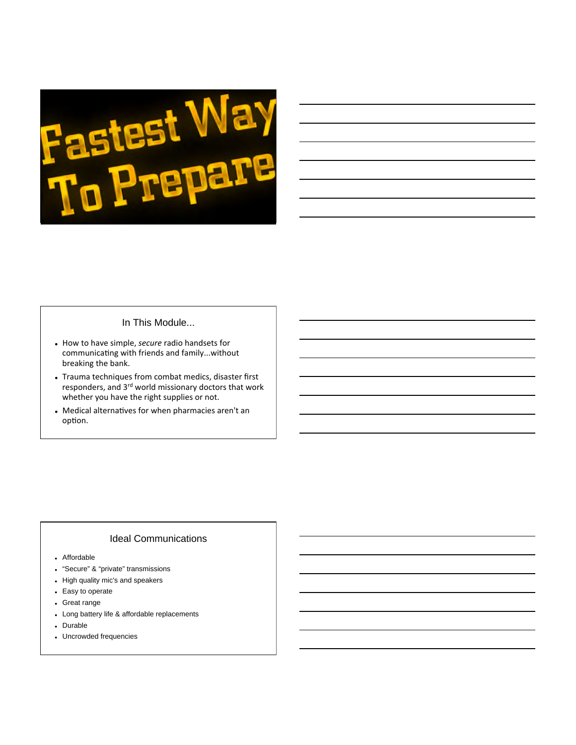

#### In This Module...

- $\bullet$  How to have simple, *secure* radio handsets for communicating with friends and family...without breaking the bank.
- Trauma techniques from combat medics, disaster first responders, and  $3^{\text{rd}}$  world missionary doctors that work whether you have the right supplies or not.
- Medical alternatives for when pharmacies aren't an option.

#### Ideal Communications

- Affordable
- "Secure" & "private" transmissions
- High quality mic's and speakers
- Easy to operate
- Great range
- Long battery life & affordable replacements
- Durable
- Uncrowded frequencies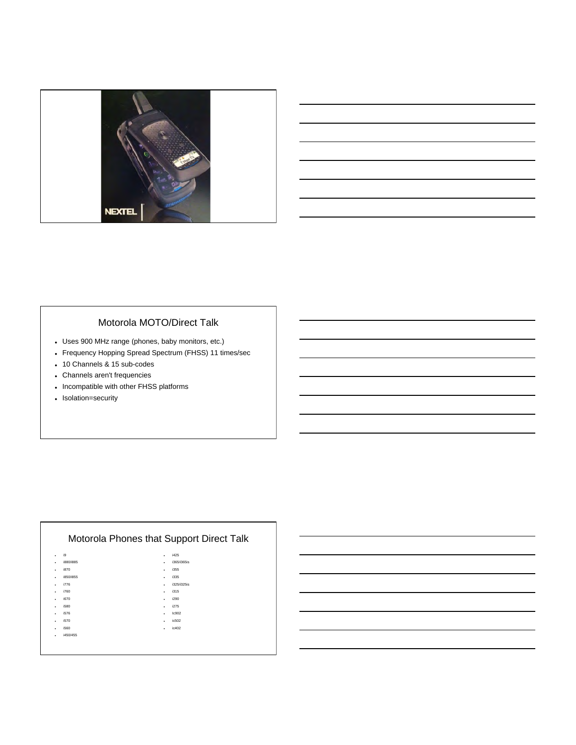

| <u> 1989 - Andrea Andrew Maria (h. 1989).</u> |  |  | <b>Contract Contract</b> |
|-----------------------------------------------|--|--|--------------------------|
|                                               |  |  |                          |
|                                               |  |  |                          |

# Motorola MOTO/Direct Talk

- Uses 900 MHz range (phones, baby monitors, etc.)
- Frequency Hopping Spread Spectrum (FHSS) 11 times/sec
- 10 Channels & 15 sub-codes
- Channels aren't frequencies
- Incompatible with other FHSS platforms
- Isolation=security

#### i9 i880/i885 i870 i850/i855  $\cdot$  i776  $\frac{1}{2}$  i760  $\cdot$  i670  $\cdot$  i580  $\cdot$  i576  $\cdot$  i570  $\cdot$  i560  $\cdot$  i450/455 Motorola Phones that Support Direct Talk  $\cdot$  i425 i365/i365is i355 i335 i325/i325is  $\frac{1}{2}$  i315  $\cdot$  i290  $\cdot$  i275  $\cdot$  Ic902 ic502 ic402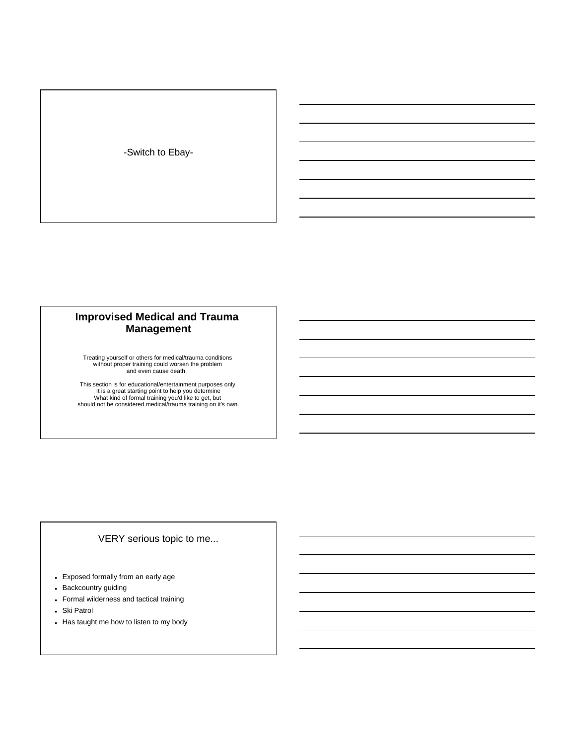-Switch to Ebay-

# **Improvised Medical and Trauma Management**

Treating yourself or others for medical/trauma conditions without proper training could worsen the problem and even cause death.

This section is for educational/entertainment purposes only.<br>It is a great starting point to help you determine<br>What kind of formal training you'd like to get, but<br>should not be considered medical/trauma training on it's o

# VERY serious topic to me...

- Exposed formally from an early age
- Backcountry guiding
- Formal wilderness and tactical training
- Ski Patrol
- Has taught me how to listen to my body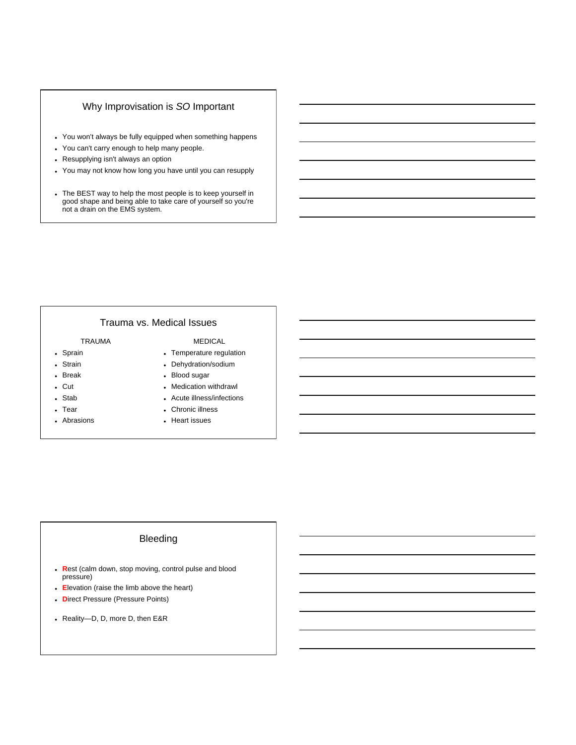#### Why Improvisation is *SO* Important

- You won't always be fully equipped when something happens
- You can't carry enough to help many people.
- Resupplying isn't always an option
- You may not know how long you have until you can resupply
- The BEST way to help the most people is to keep yourself in good shape and being able to take care of yourself so you're not a drain on the EMS system.

# Trauma vs. Medical Issues

#### TRAUMA

- Sprain
- Strain Break
- 
- Cut Stab
- 
- Tear
- Abrasions

#### MEDICAL

- Temperature regulation
- Dehydration/sodium
- Blood sugar
- Medication withdrawl
- Acute illness/infections
- Chronic illness
- Heart issues

### Bleeding

- **R**est (calm down, stop moving, control pulse and blood pressure)
- **E**levation (raise the limb above the heart)
- **D**irect Pressure (Pressure Points)
- Reality—D, D, more D, then E&R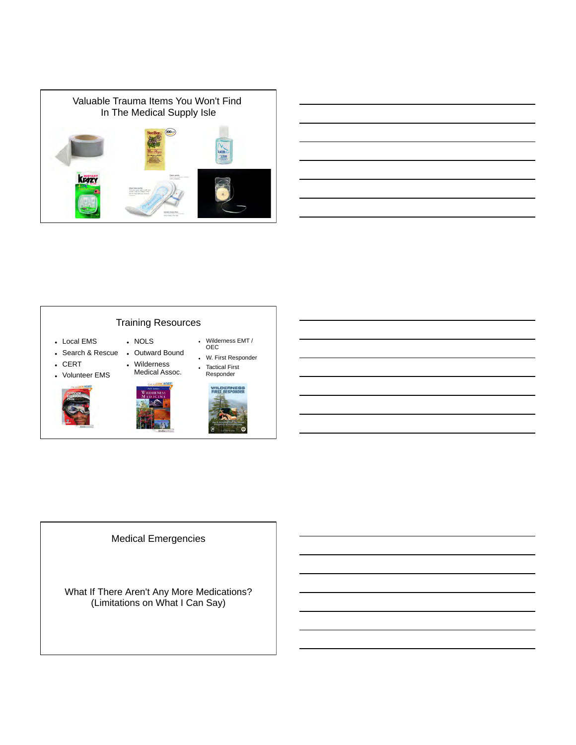

|  |  | <b>Contract Contract</b> |
|--|--|--------------------------|
|  |  |                          |
|  |  | $\overline{\phantom{a}}$ |
|  |  |                          |
|  |  |                          |
|  |  |                          |
|  |  |                          |
|  |  |                          |
|  |  |                          |
|  |  |                          |
|  |  |                          |

#### Training Resources Local EMS • Search & Rescue • Outward Bound  $CERT$  Volunteer EMS . NOLS Wilderness Medical Assoc. Wilderness EMT / OEC W. First Responder Tactical First Responder



# Medical Emergencies

What If There Aren't Any More Medications? (Limitations on What I Can Say)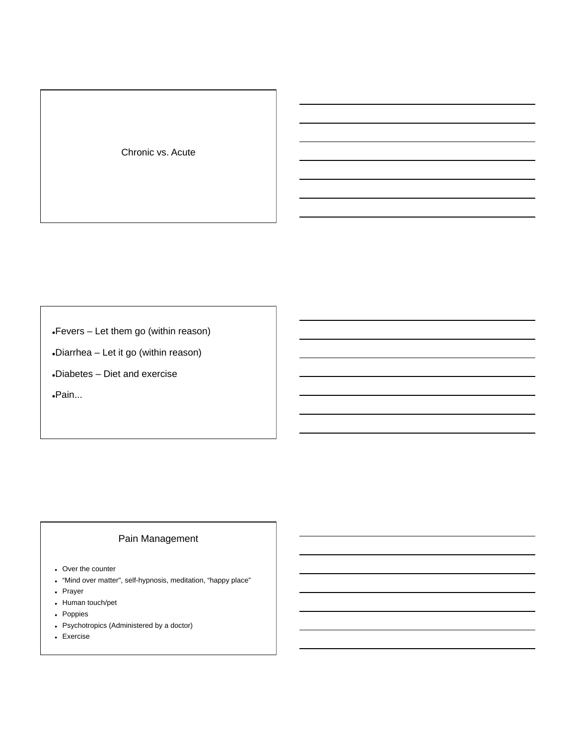Chronic vs. Acute

Fevers – Let them go (within reason)

Diarrhea – Let it go (within reason)

Diabetes – Diet and exercise

Pain...

# Pain Management

- Over the counter
- "Mind over matter", self-hypnosis, meditation, "happy place"
- Prayer
- Human touch/pet
- Poppies
- Psychotropics (Administered by a doctor)
- Exercise